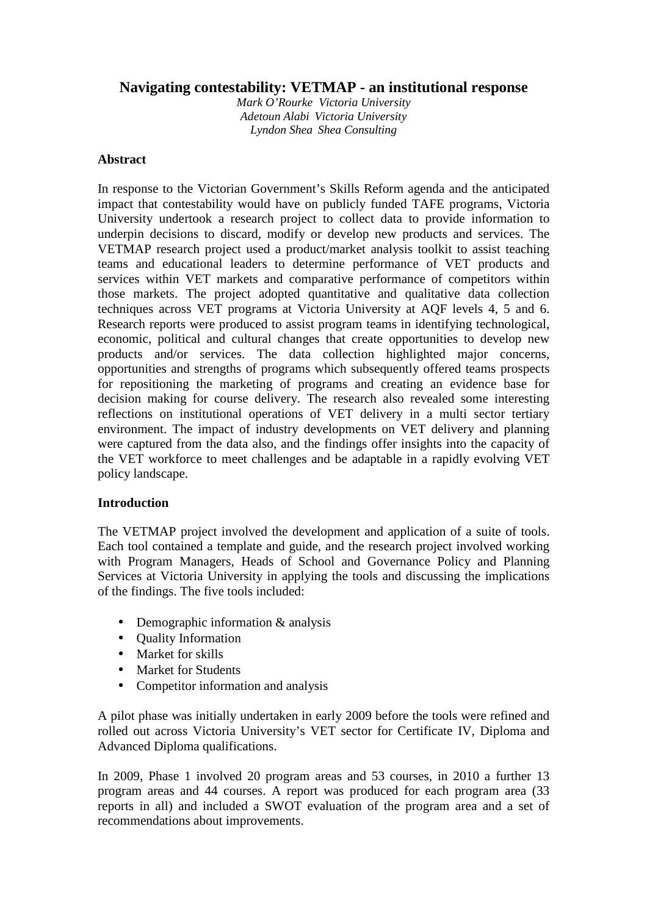# **Navigating contestability: VETMAP - an institutional response**

*Mark O'Rourke Victoria University Adetoun Alabi Victoria University Lyndon Shea Shea Consulting*

# **Abstract**

In response to the Victorian Government's Skills Reform agenda and the anticipated impact that contestability would have on publicly funded TAFE programs, Victoria University undertook a research project to collect data to provide information to underpin decisions to discard, modify or develop new products and services. The VETMAP research project used a product/market analysis toolkit to assist teaching teams and educational leaders to determine performance of VET products and services within VET markets and comparative performance of competitors within those markets. The project adopted quantitative and qualitative data collection techniques across VET programs at Victoria University at AQF levels 4, 5 and 6. Research reports were produced to assist program teams in identifying technological, economic, political and cultural changes that create opportunities to develop new products and/or services. The data collection highlighted major concerns, opportunities and strengths of programs which subsequently offered teams prospects for repositioning the marketing of programs and creating an evidence base for decision making for course delivery. The research also revealed some interesting reflections on institutional operations of VET delivery in a multi sector tertiary environment. The impact of industry developments on VET delivery and planning were captured from the data also, and the findings offer insights into the capacity of the VET workforce to meet challenges and be adaptable in a rapidly evolving VET policy landscape.

# **Introduction**

The VETMAP project involved the development and application of a suite of tools. Each tool contained a template and guide, and the research project involved working with Program Managers, Heads of School and Governance Policy and Planning Services at Victoria University in applying the tools and discussing the implications of the findings. The five tools included:

- Demographic information & analysis
- Quality Information
- Market for skills
- Market for Students
- Competitor information and analysis

A pilot phase was initially undertaken in early 2009 before the tools were refined and rolled out across Victoria University's VET sector for Certificate IV, Diploma and Advanced Diploma qualifications.

In 2009, Phase 1 involved 20 program areas and 53 courses, in 2010 a further 13 program areas and 44 courses. A report was produced for each program area (33 reports in all) and included a SWOT evaluation of the program area and a set of recommendations about improvements.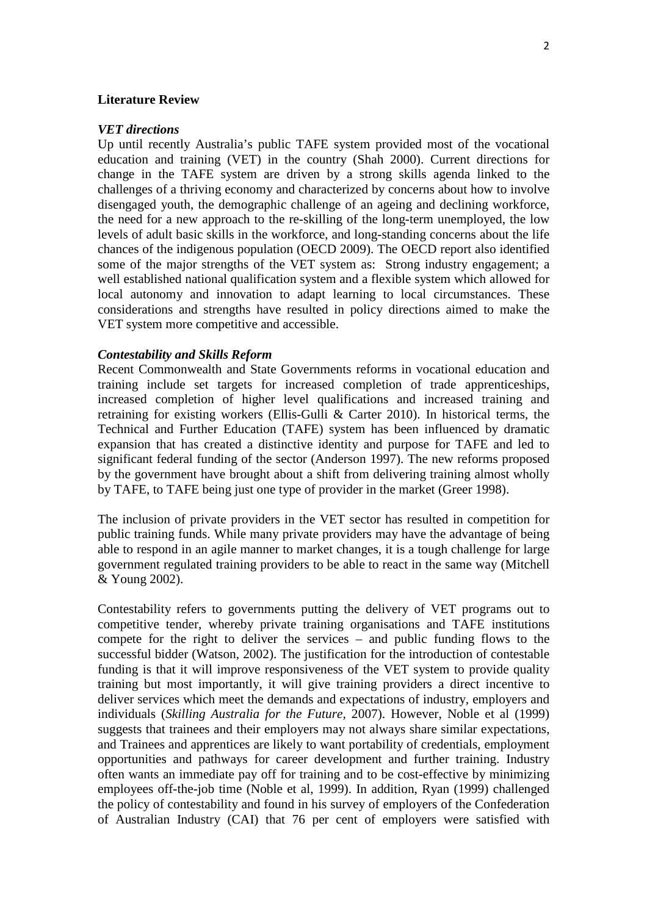## **Literature Review**

#### *VET directions*

Up until recently Australia's public TAFE system provided most of the vocational education and training (VET) in the country (Shah 2000). Current directions for change in the TAFE system are driven by a strong skills agenda linked to the challenges of a thriving economy and characterized by concerns about how to involve disengaged youth, the demographic challenge of an ageing and declining workforce, the need for a new approach to the re-skilling of the long-term unemployed, the low levels of adult basic skills in the workforce, and long-standing concerns about the life chances of the indigenous population (OECD 2009). The OECD report also identified some of the major strengths of the VET system as: Strong industry engagement; a well established national qualification system and a flexible system which allowed for local autonomy and innovation to adapt learning to local circumstances. These considerations and strengths have resulted in policy directions aimed to make the VET system more competitive and accessible.

### *Contestability and Skills Reform*

Recent Commonwealth and State Governments reforms in vocational education and training include set targets for increased completion of trade apprenticeships, increased completion of higher level qualifications and increased training and retraining for existing workers (Ellis-Gulli & Carter 2010). In historical terms, the Technical and Further Education (TAFE) system has been influenced by dramatic expansion that has created a distinctive identity and purpose for TAFE and led to significant federal funding of the sector (Anderson 1997). The new reforms proposed by the government have brought about a shift from delivering training almost wholly by TAFE, to TAFE being just one type of provider in the market (Greer 1998).

The inclusion of private providers in the VET sector has resulted in competition for public training funds. While many private providers may have the advantage of being able to respond in an agile manner to market changes, it is a tough challenge for large government regulated training providers to be able to react in the same way (Mitchell & Young 2002).

Contestability refers to governments putting the delivery of VET programs out to competitive tender, whereby private training organisations and TAFE institutions compete for the right to deliver the services – and public funding flows to the successful bidder (Watson, 2002). The justification for the introduction of contestable funding is that it will improve responsiveness of the VET system to provide quality training but most importantly, it will give training providers a direct incentive to deliver services which meet the demands and expectations of industry, employers and individuals (*Skilling Australia for the Future,* 2007). However, Noble et al (1999) suggests that trainees and their employers may not always share similar expectations, and Trainees and apprentices are likely to want portability of credentials, employment opportunities and pathways for career development and further training. Industry often wants an immediate pay off for training and to be cost-effective by minimizing employees off-the-job time (Noble et al, 1999). In addition, Ryan (1999) challenged the policy of contestability and found in his survey of employers of the Confederation of Australian Industry (CAI) that 76 per cent of employers were satisfied with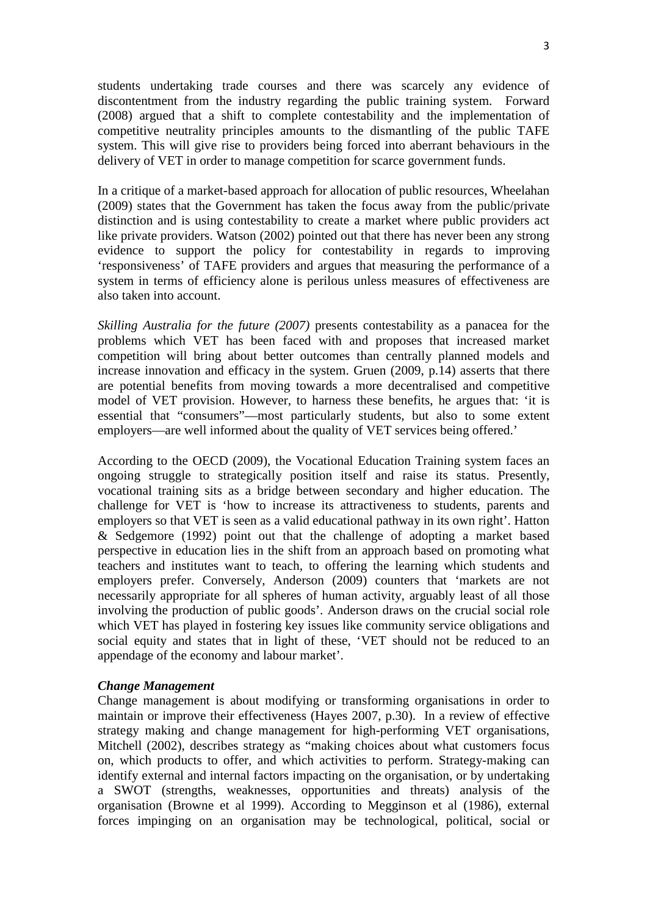students undertaking trade courses and there was scarcely any evidence of discontentment from the industry regarding the public training system. Forward (2008) argued that a shift to complete contestability and the implementation of competitive neutrality principles amounts to the dismantling of the public TAFE system. This will give rise to providers being forced into aberrant behaviours in the delivery of VET in order to manage competition for scarce government funds.

In a critique of a market-based approach for allocation of public resources, Wheelahan (2009) states that the Government has taken the focus away from the public/private distinction and is using contestability to create a market where public providers act like private providers. Watson (2002) pointed out that there has never been any strong evidence to support the policy for contestability in regards to improving 'responsiveness' of TAFE providers and argues that measuring the performance of a system in terms of efficiency alone is perilous unless measures of effectiveness are also taken into account.

*Skilling Australia for the future (2007)* presents contestability as a panacea for the problems which VET has been faced with and proposes that increased market competition will bring about better outcomes than centrally planned models and increase innovation and efficacy in the system. Gruen (2009, p.14) asserts that there are potential benefits from moving towards a more decentralised and competitive model of VET provision. However, to harness these benefits, he argues that: 'it is essential that "consumers"—most particularly students, but also to some extent employers—are well informed about the quality of VET services being offered.'

According to the OECD (2009), the Vocational Education Training system faces an ongoing struggle to strategically position itself and raise its status. Presently, vocational training sits as a bridge between secondary and higher education. The challenge for VET is 'how to increase its attractiveness to students, parents and employers so that VET is seen as a valid educational pathway in its own right'. Hatton & Sedgemore (1992) point out that the challenge of adopting a market based perspective in education lies in the shift from an approach based on promoting what teachers and institutes want to teach, to offering the learning which students and employers prefer. Conversely, Anderson (2009) counters that 'markets are not necessarily appropriate for all spheres of human activity, arguably least of all those involving the production of public goods'. Anderson draws on the crucial social role which VET has played in fostering key issues like community service obligations and social equity and states that in light of these, 'VET should not be reduced to an appendage of the economy and labour market'.

### *Change Management*

Change management is about modifying or transforming organisations in order to maintain or improve their effectiveness (Hayes 2007, p.30). In a review of effective strategy making and change management for high-performing VET organisations, Mitchell (2002), describes strategy as "making choices about what customers focus on, which products to offer, and which activities to perform. Strategy-making can identify external and internal factors impacting on the organisation, or by undertaking a SWOT (strengths, weaknesses, opportunities and threats) analysis of the organisation (Browne et al 1999). According to Megginson et al (1986), external forces impinging on an organisation may be technological, political, social or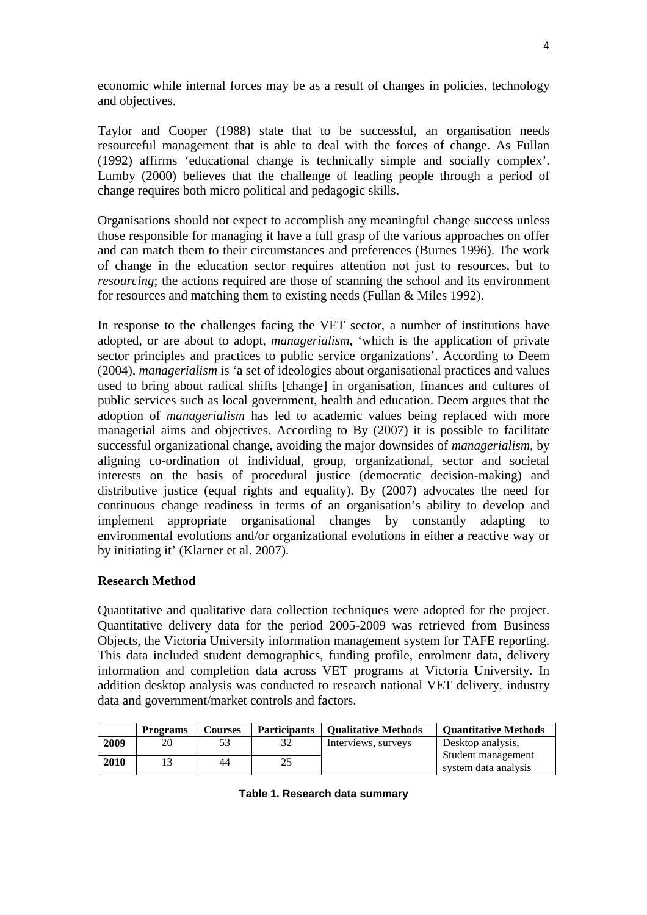economic while internal forces may be as a result of changes in policies, technology and objectives.

Taylor and Cooper (1988) state that to be successful, an organisation needs resourceful management that is able to deal with the forces of change. As Fullan (1992) affirms 'educational change is technically simple and socially complex'. Lumby (2000) believes that the challenge of leading people through a period of change requires both micro political and pedagogic skills.

Organisations should not expect to accomplish any meaningful change success unless those responsible for managing it have a full grasp of the various approaches on offer and can match them to their circumstances and preferences (Burnes 1996). The work of change in the education sector requires attention not just to resources, but to *resourcing*; the actions required are those of scanning the school and its environment for resources and matching them to existing needs (Fullan & Miles 1992).

In response to the challenges facing the VET sector, a number of institutions have adopted, or are about to adopt, *managerialism*, 'which is the application of private sector principles and practices to public service organizations'. According to Deem (2004), *managerialism* is 'a set of ideologies about organisational practices and values used to bring about radical shifts [change] in organisation, finances and cultures of public services such as local government, health and education. Deem argues that the adoption of *managerialism* has led to academic values being replaced with more managerial aims and objectives. According to By (2007) it is possible to facilitate successful organizational change, avoiding the major downsides of *managerialism,* by aligning co-ordination of individual, group, organizational, sector and societal interests on the basis of procedural justice (democratic decision-making) and distributive justice (equal rights and equality). By (2007) advocates the need for continuous change readiness in terms of an organisation's ability to develop and implement appropriate organisational changes by constantly adapting to environmental evolutions and/or organizational evolutions in either a reactive way or by initiating it' (Klarner et al. 2007).

# **Research Method**

Quantitative and qualitative data collection techniques were adopted for the project. Quantitative delivery data for the period 2005-2009 was retrieved from Business Objects, the Victoria University information management system for TAFE reporting. This data included student demographics, funding profile, enrolment data, delivery information and completion data across VET programs at Victoria University. In addition desktop analysis was conducted to research national VET delivery, industry data and government/market controls and factors.

|      | <b>Programs</b> | <b>Courses</b> | <b>Participants</b> | <b>Qualitative Methods</b> | <b>Quantitative Methods</b>                |
|------|-----------------|----------------|---------------------|----------------------------|--------------------------------------------|
| 2009 |                 |                |                     | Interviews, surveys        | Desktop analysis,                          |
| 2010 |                 | 44             |                     |                            | Student management<br>system data analysis |

# **Table 1. Research data summary**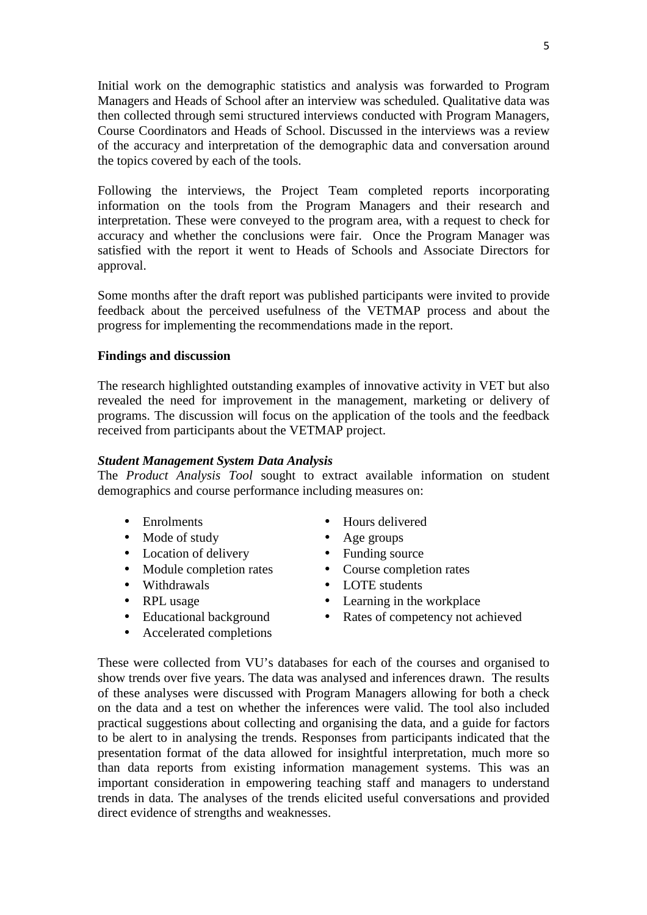Initial work on the demographic statistics and analysis was forwarded to Program Managers and Heads of School after an interview was scheduled. Qualitative data was then collected through semi structured interviews conducted with Program Managers, Course Coordinators and Heads of School. Discussed in the interviews was a review of the accuracy and interpretation of the demographic data and conversation around the topics covered by each of the tools.

Following the interviews, the Project Team completed reports incorporating information on the tools from the Program Managers and their research and interpretation. These were conveyed to the program area, with a request to check for accuracy and whether the conclusions were fair. Once the Program Manager was satisfied with the report it went to Heads of Schools and Associate Directors for approval.

Some months after the draft report was published participants were invited to provide feedback about the perceived usefulness of the VETMAP process and about the progress for implementing the recommendations made in the report.

# **Findings and discussion**

The research highlighted outstanding examples of innovative activity in VET but also revealed the need for improvement in the management, marketing or delivery of programs. The discussion will focus on the application of the tools and the feedback received from participants about the VETMAP project.

## *Student Management System Data Analysis*

The *Product Analysis Tool* sought to extract available information on student demographics and course performance including measures on:

- Enrolments
- Mode of study
- Location of delivery
- Module completion rates
- Withdrawals
- RPL usage
- Educational background
- Accelerated completions
- Hours delivered
- Age groups
- Funding source
- Course completion rates
- LOTE students
- Learning in the workplace
- Rates of competency not achieved

These were collected from VU's databases for each of the courses and organised to show trends over five years. The data was analysed and inferences drawn. The results of these analyses were discussed with Program Managers allowing for both a check on the data and a test on whether the inferences were valid. The tool also included practical suggestions about collecting and organising the data, and a guide for factors to be alert to in analysing the trends. Responses from participants indicated that the presentation format of the data allowed for insightful interpretation, much more so than data reports from existing information management systems. This was an important consideration in empowering teaching staff and managers to understand trends in data. The analyses of the trends elicited useful conversations and provided direct evidence of strengths and weaknesses.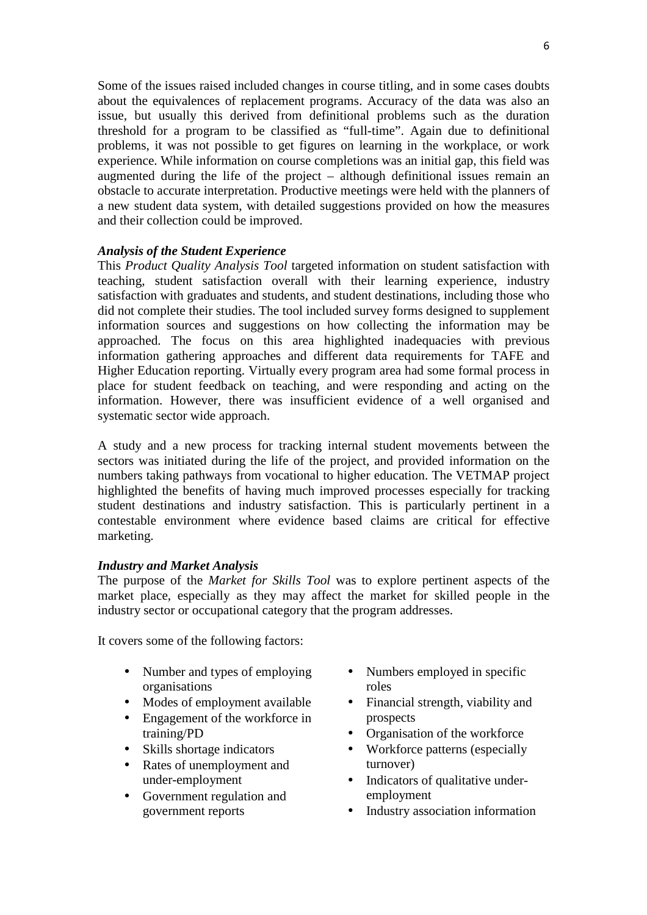Some of the issues raised included changes in course titling, and in some cases doubts about the equivalences of replacement programs. Accuracy of the data was also an issue, but usually this derived from definitional problems such as the duration threshold for a program to be classified as "full-time". Again due to definitional problems, it was not possible to get figures on learning in the workplace, or work experience. While information on course completions was an initial gap, this field was augmented during the life of the project – although definitional issues remain an obstacle to accurate interpretation. Productive meetings were held with the planners of a new student data system, with detailed suggestions provided on how the measures and their collection could be improved.

# *Analysis of the Student Experience*

This *Product Quality Analysis Tool* targeted information on student satisfaction with teaching, student satisfaction overall with their learning experience, industry satisfaction with graduates and students, and student destinations, including those who did not complete their studies. The tool included survey forms designed to supplement information sources and suggestions on how collecting the information may be approached. The focus on this area highlighted inadequacies with previous information gathering approaches and different data requirements for TAFE and Higher Education reporting. Virtually every program area had some formal process in place for student feedback on teaching, and were responding and acting on the information. However, there was insufficient evidence of a well organised and systematic sector wide approach.

A study and a new process for tracking internal student movements between the sectors was initiated during the life of the project, and provided information on the numbers taking pathways from vocational to higher education. The VETMAP project highlighted the benefits of having much improved processes especially for tracking student destinations and industry satisfaction. This is particularly pertinent in a contestable environment where evidence based claims are critical for effective marketing.

### *Industry and Market Analysis*

The purpose of the *Market for Skills Tool* was to explore pertinent aspects of the market place, especially as they may affect the market for skilled people in the industry sector or occupational category that the program addresses.

It covers some of the following factors:

- Number and types of employing organisations
- Modes of employment available
- Engagement of the workforce in training/PD
- Skills shortage indicators
- Rates of unemployment and under-employment
- Government regulation and government reports
- Numbers employed in specific roles
- Financial strength, viability and prospects
- Organisation of the workforce
- Workforce patterns (especially turnover)
- Indicators of qualitative underemployment
- Industry association information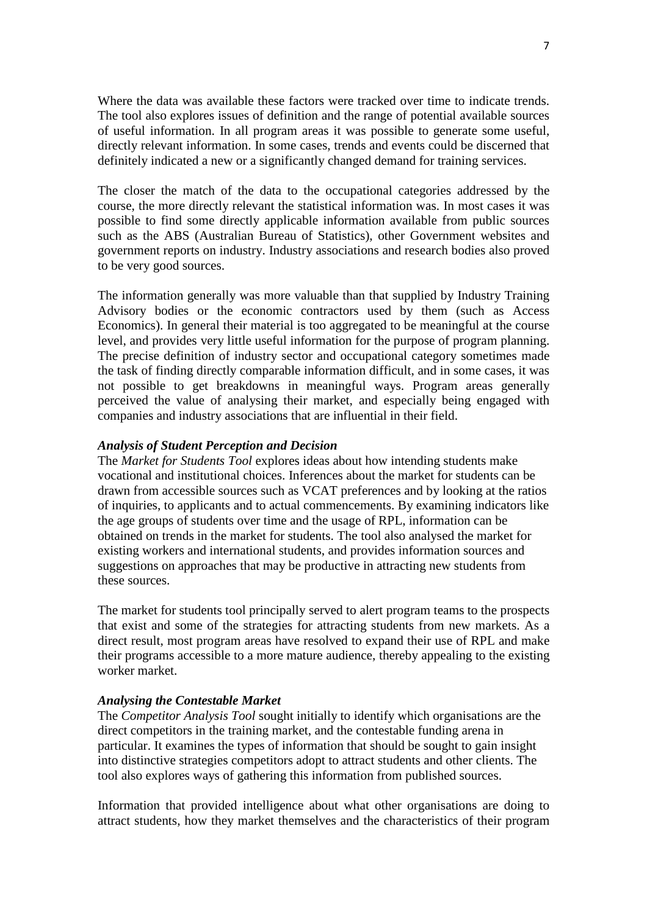Where the data was available these factors were tracked over time to indicate trends. The tool also explores issues of definition and the range of potential available sources of useful information. In all program areas it was possible to generate some useful, directly relevant information. In some cases, trends and events could be discerned that definitely indicated a new or a significantly changed demand for training services.

The closer the match of the data to the occupational categories addressed by the course, the more directly relevant the statistical information was. In most cases it was possible to find some directly applicable information available from public sources such as the ABS (Australian Bureau of Statistics), other Government websites and government reports on industry. Industry associations and research bodies also proved to be very good sources.

The information generally was more valuable than that supplied by Industry Training Advisory bodies or the economic contractors used by them (such as Access Economics). In general their material is too aggregated to be meaningful at the course level, and provides very little useful information for the purpose of program planning. The precise definition of industry sector and occupational category sometimes made the task of finding directly comparable information difficult, and in some cases, it was not possible to get breakdowns in meaningful ways. Program areas generally perceived the value of analysing their market, and especially being engaged with companies and industry associations that are influential in their field.

### *Analysis of Student Perception and Decision*

The *Market for Students Tool* explores ideas about how intending students make vocational and institutional choices. Inferences about the market for students can be drawn from accessible sources such as VCAT preferences and by looking at the ratios of inquiries, to applicants and to actual commencements. By examining indicators like the age groups of students over time and the usage of RPL, information can be obtained on trends in the market for students. The tool also analysed the market for existing workers and international students, and provides information sources and suggestions on approaches that may be productive in attracting new students from these sources.

The market for students tool principally served to alert program teams to the prospects that exist and some of the strategies for attracting students from new markets. As a direct result, most program areas have resolved to expand their use of RPL and make their programs accessible to a more mature audience, thereby appealing to the existing worker market.

## *Analysing the Contestable Market*

The *Competitor Analysis Tool* sought initially to identify which organisations are the direct competitors in the training market, and the contestable funding arena in particular. It examines the types of information that should be sought to gain insight into distinctive strategies competitors adopt to attract students and other clients. The tool also explores ways of gathering this information from published sources.

Information that provided intelligence about what other organisations are doing to attract students, how they market themselves and the characteristics of their program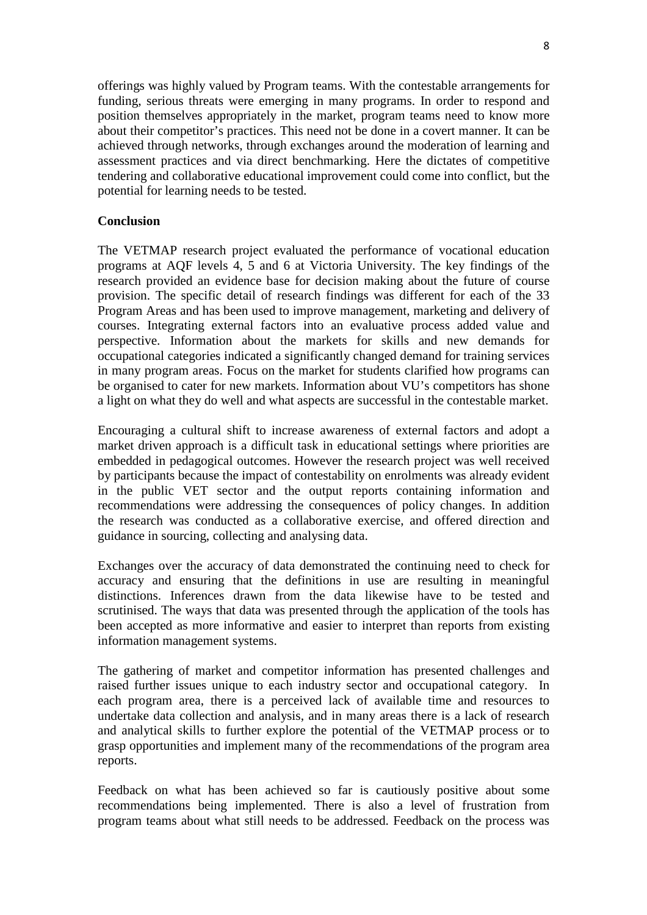offerings was highly valued by Program teams. With the contestable arrangements for funding, serious threats were emerging in many programs. In order to respond and position themselves appropriately in the market, program teams need to know more about their competitor's practices. This need not be done in a covert manner. It can be achieved through networks, through exchanges around the moderation of learning and assessment practices and via direct benchmarking. Here the dictates of competitive tendering and collaborative educational improvement could come into conflict, but the potential for learning needs to be tested.

# **Conclusion**

The VETMAP research project evaluated the performance of vocational education programs at AQF levels 4, 5 and 6 at Victoria University. The key findings of the research provided an evidence base for decision making about the future of course provision. The specific detail of research findings was different for each of the 33 Program Areas and has been used to improve management, marketing and delivery of courses. Integrating external factors into an evaluative process added value and perspective. Information about the markets for skills and new demands for occupational categories indicated a significantly changed demand for training services in many program areas. Focus on the market for students clarified how programs can be organised to cater for new markets. Information about VU's competitors has shone a light on what they do well and what aspects are successful in the contestable market.

Encouraging a cultural shift to increase awareness of external factors and adopt a market driven approach is a difficult task in educational settings where priorities are embedded in pedagogical outcomes. However the research project was well received by participants because the impact of contestability on enrolments was already evident in the public VET sector and the output reports containing information and recommendations were addressing the consequences of policy changes. In addition the research was conducted as a collaborative exercise, and offered direction and guidance in sourcing, collecting and analysing data.

Exchanges over the accuracy of data demonstrated the continuing need to check for accuracy and ensuring that the definitions in use are resulting in meaningful distinctions. Inferences drawn from the data likewise have to be tested and scrutinised. The ways that data was presented through the application of the tools has been accepted as more informative and easier to interpret than reports from existing information management systems.

The gathering of market and competitor information has presented challenges and raised further issues unique to each industry sector and occupational category. In each program area, there is a perceived lack of available time and resources to undertake data collection and analysis, and in many areas there is a lack of research and analytical skills to further explore the potential of the VETMAP process or to grasp opportunities and implement many of the recommendations of the program area reports.

Feedback on what has been achieved so far is cautiously positive about some recommendations being implemented. There is also a level of frustration from program teams about what still needs to be addressed. Feedback on the process was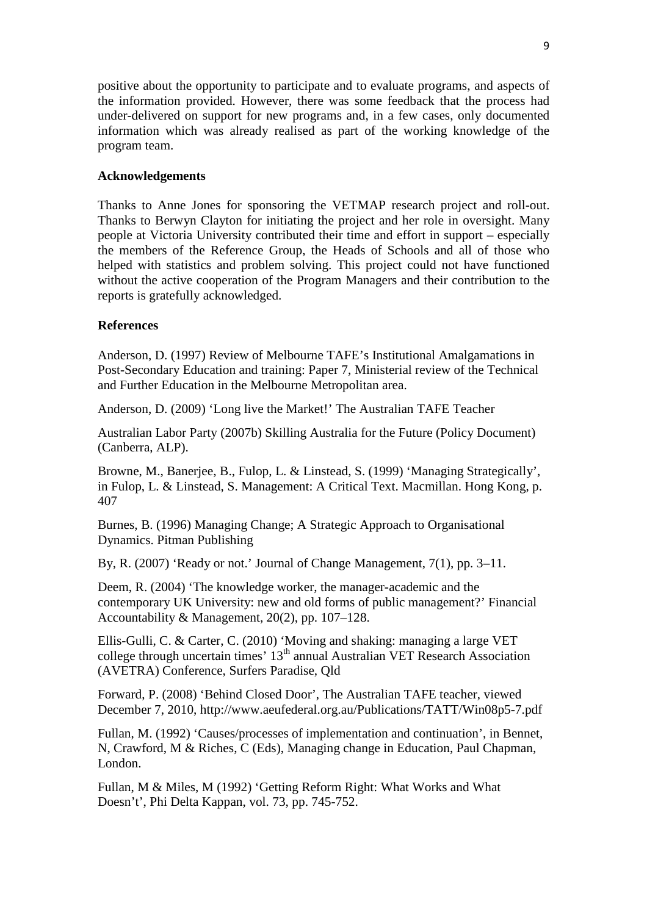positive about the opportunity to participate and to evaluate programs, and aspects of the information provided. However, there was some feedback that the process had under-delivered on support for new programs and, in a few cases, only documented information which was already realised as part of the working knowledge of the program team.

## **Acknowledgements**

Thanks to Anne Jones for sponsoring the VETMAP research project and roll-out. Thanks to Berwyn Clayton for initiating the project and her role in oversight. Many people at Victoria University contributed their time and effort in support – especially the members of the Reference Group, the Heads of Schools and all of those who helped with statistics and problem solving. This project could not have functioned without the active cooperation of the Program Managers and their contribution to the reports is gratefully acknowledged.

# **References**

Anderson, D. (1997) Review of Melbourne TAFE's Institutional Amalgamations in Post-Secondary Education and training: Paper 7, Ministerial review of the Technical and Further Education in the Melbourne Metropolitan area.

Anderson, D. (2009) 'Long live the Market!' The Australian TAFE Teacher

Australian Labor Party (2007b) Skilling Australia for the Future (Policy Document) (Canberra, ALP).

Browne, M., Banerjee, B., Fulop, L. & Linstead, S. (1999) 'Managing Strategically', in Fulop, L. & Linstead, S. Management: A Critical Text. Macmillan. Hong Kong, p. 407

Burnes, B. (1996) Managing Change; A Strategic Approach to Organisational Dynamics. Pitman Publishing

By, R. (2007) 'Ready or not.' Journal of Change Management, 7(1), pp. 3–11.

Deem, R. (2004) 'The knowledge worker, the manager-academic and the contemporary UK University: new and old forms of public management?' Financial Accountability & Management, 20(2), pp. 107–128.

Ellis-Gulli, C. & Carter, C. (2010) 'Moving and shaking: managing a large VET college through uncertain times'  $13<sup>th</sup>$  annual Australian VET Research Association (AVETRA) Conference, Surfers Paradise, Qld

Forward, P. (2008) 'Behind Closed Door', The Australian TAFE teacher, viewed December 7, 2010, http://www.aeufederal.org.au/Publications/TATT/Win08p5-7.pdf

Fullan, M. (1992) 'Causes/processes of implementation and continuation', in Bennet, N, Crawford, M & Riches, C (Eds), Managing change in Education, Paul Chapman, London.

Fullan, M & Miles, M (1992) 'Getting Reform Right: What Works and What Doesn't', Phi Delta Kappan, vol. 73, pp. 745-752.